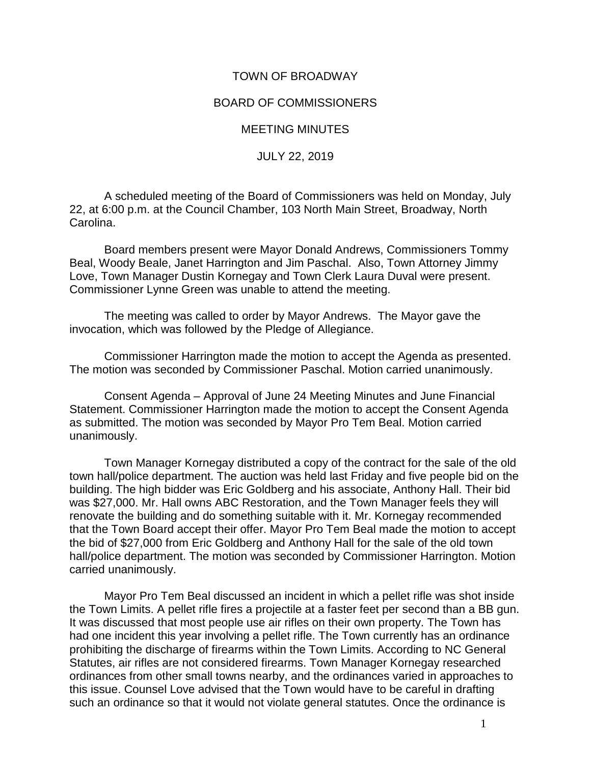## TOWN OF BROADWAY

## BOARD OF COMMISSIONERS

## MEETING MINUTES

## JULY 22, 2019

A scheduled meeting of the Board of Commissioners was held on Monday, July 22, at 6:00 p.m. at the Council Chamber, 103 North Main Street, Broadway, North Carolina.

Board members present were Mayor Donald Andrews, Commissioners Tommy Beal, Woody Beale, Janet Harrington and Jim Paschal. Also, Town Attorney Jimmy Love, Town Manager Dustin Kornegay and Town Clerk Laura Duval were present. Commissioner Lynne Green was unable to attend the meeting.

The meeting was called to order by Mayor Andrews. The Mayor gave the invocation, which was followed by the Pledge of Allegiance.

Commissioner Harrington made the motion to accept the Agenda as presented. The motion was seconded by Commissioner Paschal. Motion carried unanimously.

Consent Agenda – Approval of June 24 Meeting Minutes and June Financial Statement. Commissioner Harrington made the motion to accept the Consent Agenda as submitted. The motion was seconded by Mayor Pro Tem Beal. Motion carried unanimously.

Town Manager Kornegay distributed a copy of the contract for the sale of the old town hall/police department. The auction was held last Friday and five people bid on the building. The high bidder was Eric Goldberg and his associate, Anthony Hall. Their bid was \$27,000. Mr. Hall owns ABC Restoration, and the Town Manager feels they will renovate the building and do something suitable with it. Mr. Kornegay recommended that the Town Board accept their offer. Mayor Pro Tem Beal made the motion to accept the bid of \$27,000 from Eric Goldberg and Anthony Hall for the sale of the old town hall/police department. The motion was seconded by Commissioner Harrington. Motion carried unanimously.

Mayor Pro Tem Beal discussed an incident in which a pellet rifle was shot inside the Town Limits. A pellet rifle fires a projectile at a faster feet per second than a BB gun. It was discussed that most people use air rifles on their own property. The Town has had one incident this year involving a pellet rifle. The Town currently has an ordinance prohibiting the discharge of firearms within the Town Limits. According to NC General Statutes, air rifles are not considered firearms. Town Manager Kornegay researched ordinances from other small towns nearby, and the ordinances varied in approaches to this issue. Counsel Love advised that the Town would have to be careful in drafting such an ordinance so that it would not violate general statutes. Once the ordinance is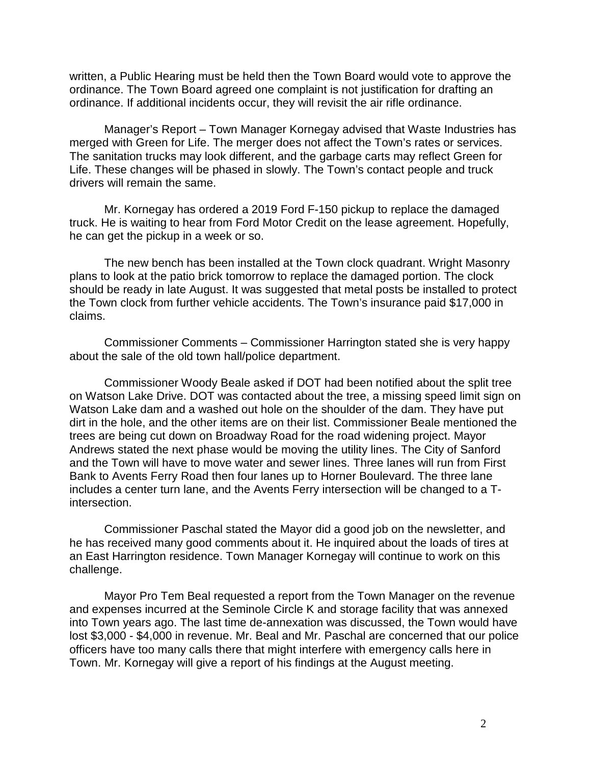written, a Public Hearing must be held then the Town Board would vote to approve the ordinance. The Town Board agreed one complaint is not justification for drafting an ordinance. If additional incidents occur, they will revisit the air rifle ordinance.

Manager's Report – Town Manager Kornegay advised that Waste Industries has merged with Green for Life. The merger does not affect the Town's rates or services. The sanitation trucks may look different, and the garbage carts may reflect Green for Life. These changes will be phased in slowly. The Town's contact people and truck drivers will remain the same.

Mr. Kornegay has ordered a 2019 Ford F-150 pickup to replace the damaged truck. He is waiting to hear from Ford Motor Credit on the lease agreement. Hopefully, he can get the pickup in a week or so.

The new bench has been installed at the Town clock quadrant. Wright Masonry plans to look at the patio brick tomorrow to replace the damaged portion. The clock should be ready in late August. It was suggested that metal posts be installed to protect the Town clock from further vehicle accidents. The Town's insurance paid \$17,000 in claims.

Commissioner Comments – Commissioner Harrington stated she is very happy about the sale of the old town hall/police department.

Commissioner Woody Beale asked if DOT had been notified about the split tree on Watson Lake Drive. DOT was contacted about the tree, a missing speed limit sign on Watson Lake dam and a washed out hole on the shoulder of the dam. They have put dirt in the hole, and the other items are on their list. Commissioner Beale mentioned the trees are being cut down on Broadway Road for the road widening project. Mayor Andrews stated the next phase would be moving the utility lines. The City of Sanford and the Town will have to move water and sewer lines. Three lanes will run from First Bank to Avents Ferry Road then four lanes up to Horner Boulevard. The three lane includes a center turn lane, and the Avents Ferry intersection will be changed to a Tintersection.

Commissioner Paschal stated the Mayor did a good job on the newsletter, and he has received many good comments about it. He inquired about the loads of tires at an East Harrington residence. Town Manager Kornegay will continue to work on this challenge.

Mayor Pro Tem Beal requested a report from the Town Manager on the revenue and expenses incurred at the Seminole Circle K and storage facility that was annexed into Town years ago. The last time de-annexation was discussed, the Town would have lost \$3,000 - \$4,000 in revenue. Mr. Beal and Mr. Paschal are concerned that our police officers have too many calls there that might interfere with emergency calls here in Town. Mr. Kornegay will give a report of his findings at the August meeting.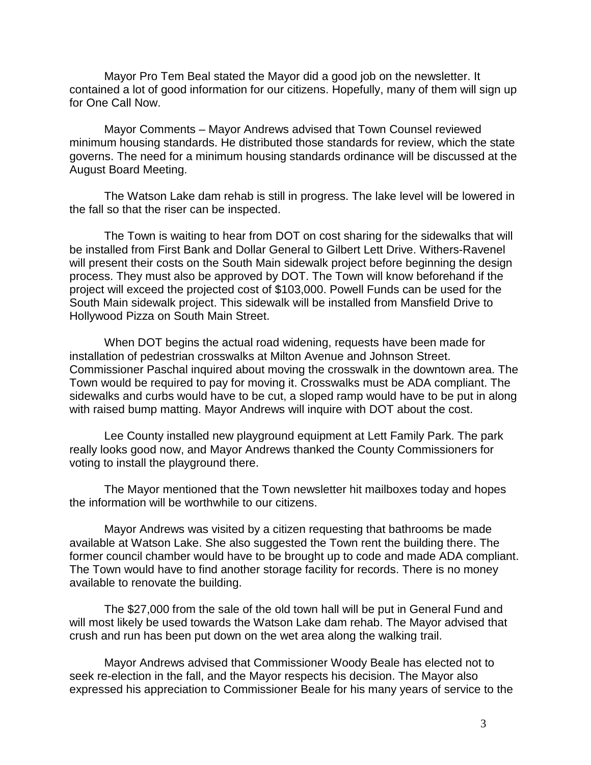Mayor Pro Tem Beal stated the Mayor did a good job on the newsletter. It contained a lot of good information for our citizens. Hopefully, many of them will sign up for One Call Now.

Mayor Comments – Mayor Andrews advised that Town Counsel reviewed minimum housing standards. He distributed those standards for review, which the state governs. The need for a minimum housing standards ordinance will be discussed at the August Board Meeting.

The Watson Lake dam rehab is still in progress. The lake level will be lowered in the fall so that the riser can be inspected.

The Town is waiting to hear from DOT on cost sharing for the sidewalks that will be installed from First Bank and Dollar General to Gilbert Lett Drive. Withers-Ravenel will present their costs on the South Main sidewalk project before beginning the design process. They must also be approved by DOT. The Town will know beforehand if the project will exceed the projected cost of \$103,000. Powell Funds can be used for the South Main sidewalk project. This sidewalk will be installed from Mansfield Drive to Hollywood Pizza on South Main Street.

When DOT begins the actual road widening, requests have been made for installation of pedestrian crosswalks at Milton Avenue and Johnson Street. Commissioner Paschal inquired about moving the crosswalk in the downtown area. The Town would be required to pay for moving it. Crosswalks must be ADA compliant. The sidewalks and curbs would have to be cut, a sloped ramp would have to be put in along with raised bump matting. Mayor Andrews will inquire with DOT about the cost.

Lee County installed new playground equipment at Lett Family Park. The park really looks good now, and Mayor Andrews thanked the County Commissioners for voting to install the playground there.

The Mayor mentioned that the Town newsletter hit mailboxes today and hopes the information will be worthwhile to our citizens.

Mayor Andrews was visited by a citizen requesting that bathrooms be made available at Watson Lake. She also suggested the Town rent the building there. The former council chamber would have to be brought up to code and made ADA compliant. The Town would have to find another storage facility for records. There is no money available to renovate the building.

The \$27,000 from the sale of the old town hall will be put in General Fund and will most likely be used towards the Watson Lake dam rehab. The Mayor advised that crush and run has been put down on the wet area along the walking trail.

Mayor Andrews advised that Commissioner Woody Beale has elected not to seek re-election in the fall, and the Mayor respects his decision. The Mayor also expressed his appreciation to Commissioner Beale for his many years of service to the